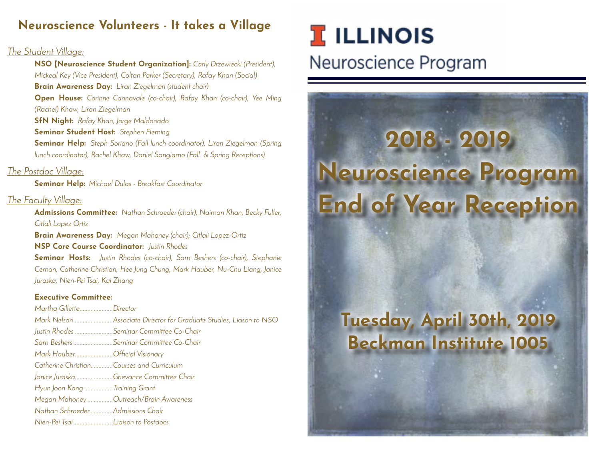## **Neuroscience Volunteers - It takes a Village**

#### The Student Village:

**NSO [Neuroscience Student Organization]:** Carly Drzewiecki (President), Mickeal Key (Vice President), Coltan Parker (Secretary), Rafay Khan (Social) **Brain Awareness Day:** Liran Ziegelman (student chair) **Open House:** Corinne Cannavale (co-chair), Rafay Khan (co-chair), Yee Ming (Rachel) Khaw, Liran Ziegelman **SfN Night:** Rafay Khan, Jorge Maldonado **Seminar Student Host:** Stephen Fleming **Seminar Help:** Steph Soriano (Fall lunch coordinator), Liran Ziegelman (Spring lunch coordinator), Rachel Khaw, Daniel Sangiamo (Fall & Spring Receptions)

#### The Postdoc Village:

**Seminar Help:** Michael Dulas - Breakfast Coordinator

#### The Faculty Village:

**Admissions Committee:** Nathan Schroeder (chair), Naiman Khan, Becky Fuller, Citlali Lopez Ortiz

**Brain Awareness Day:** Megan Mahoney (chair); Citlali Lopez-Ortiz **NSP Core Course Coordinator:** Justin Rhodes

**Seminar Hosts:** Justin Rhodes (co-chair), Sam Beshers (co-chair), Stephanie Ceman, Catherine Christian, Hee Jung Chung, Mark Hauber, Nu-Chu Liang, Janice Juraska, Nien-Pei Tsai, Kai Zhang

#### **Executive Committee:**

Martha Gillette.....................Director Mark Nelson.........................Associate Director for Graduate Studies, Liason to NSO Justin Rhodes ........................Seminar Committee Co-Chair Sam Beshers.........................Seminar Committee Co-Chair Mark Hauber........................Official Visionary Catherine Christian..............Courses and Curriculum Janice Juraska...........................Grievance Committee Chair Hyun Joon Kong ..................Training Grant Megan Mahoney ................Outreach/Brain Awareness Nathan Schroeder ..............Admissions Chair Nien-Pei Tsai.........................Liaison to Postdocs

# **I** ILLINOIS Neuroscience Program

# **2018 - 2019 Neuroscience Program End of Year Reception**

# **Tuesday, April 30th, 2019 Beckman Institute 1005**